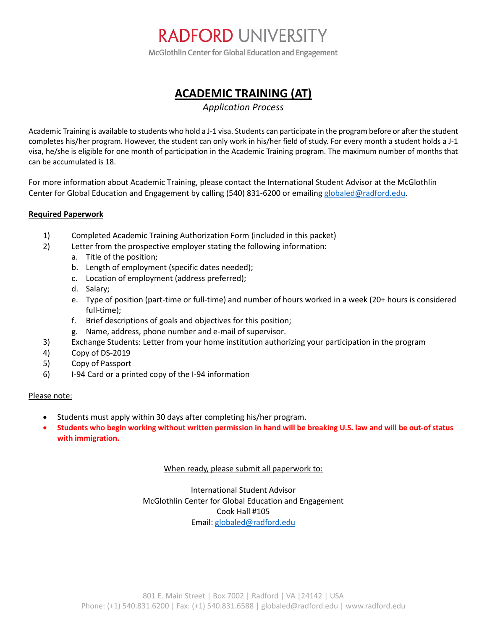

McGlothlin Center for Global Education and Engagement

## **ACADEMIC TRAINING (AT)**

*Application Process*

Academic Training is available to students who hold a J-1 visa. Students can participate in the program before or after the student completes his/her program. However, the student can only work in his/her field of study. For every month a student holds a J-1 visa, he/she is eligible for one month of participation in the Academic Training program. The maximum number of months that can be accumulated is 18.

For more information about Academic Training, please contact the International Student Advisor at the McGlothlin Center for Global Education and Engagement by calling (540) 831-6200 or emailing [globaled@radford.edu.](mailto:globaled@radford.edu)

### **Required Paperwork**

- 1) Completed Academic Training Authorization Form (included in this packet)
- 2) Letter from the prospective employer stating the following information:
	- a. Title of the position;
	- b. Length of employment (specific dates needed);
	- c. Location of employment (address preferred);
	- d. Salary;
	- e. Type of position (part-time or full-time) and number of hours worked in a week (20+ hours is considered full-time);
	- f. Brief descriptions of goals and objectives for this position;
	- g. Name, address, phone number and e-mail of supervisor.
- 3) Exchange Students: Letter from your home institution authorizing your participation in the program
- 4) Copy of DS-2019
- 5) Copy of Passport
- 6) I-94 Card or a printed copy of the I-94 information

#### Please note:

- Students must apply within 30 days after completing his/her program.
- **Students who begin working without written permission in hand will be breaking U.S. law and will be out-of status with immigration.**

#### When ready, please submit all paperwork to:

International Student Advisor McGlothlin Center for Global Education and Engagement Cook Hall #105 Email[: globaled@radford.edu](mailto:globaled@radford.edu)